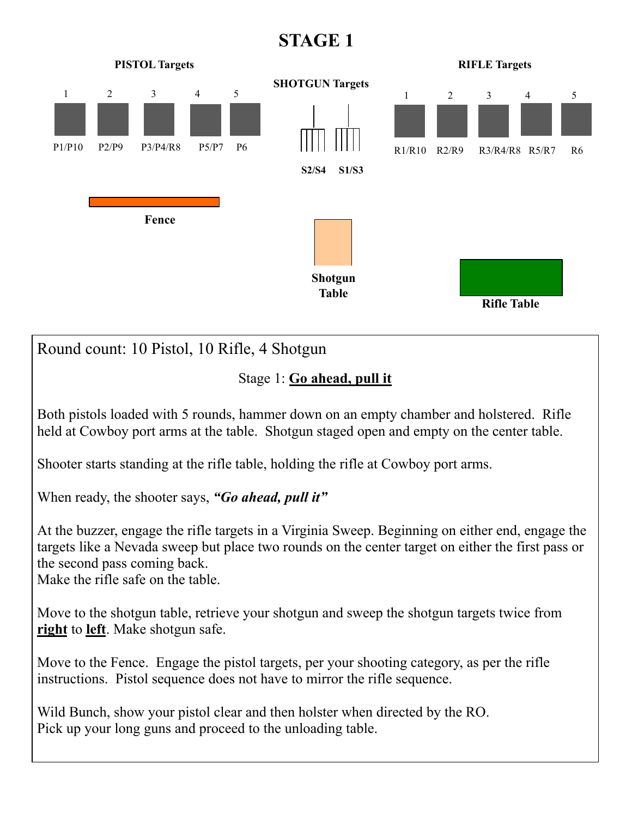## **STAGE 1**



Round count: 10 Pistol, 10 Rifle, 4 Shotgun

Stage 1: **Go ahead, pull it** 

Both pistols loaded with 5 rounds, hammer down on an empty chamber and holstered. Rifle held at Cowboy port arms at the table. Shotgun staged open and empty on the center table.

Shooter starts standing at the rifle table, holding the rifle at Cowboy port arms.

When ready, the shooter says, *"Go ahead, pull it"*

At the buzzer, engage the rifle targets in a Virginia Sweep. Beginning on either end, engage the targets like a Nevada sweep but place two rounds on the center target on either the first pass or the second pass coming back.

Make the rifle safe on the table.

Move to the shotgun table, retrieve your shotgun and sweep the shotgun targets twice from **right** to **left**. Make shotgun safe.

Move to the Fence. Engage the pistol targets, per your shooting category, as per the rifle instructions. Pistol sequence does not have to mirror the rifle sequence.

Wild Bunch, show your pistol clear and then holster when directed by the RO. Pick up your long guns and proceed to the unloading table.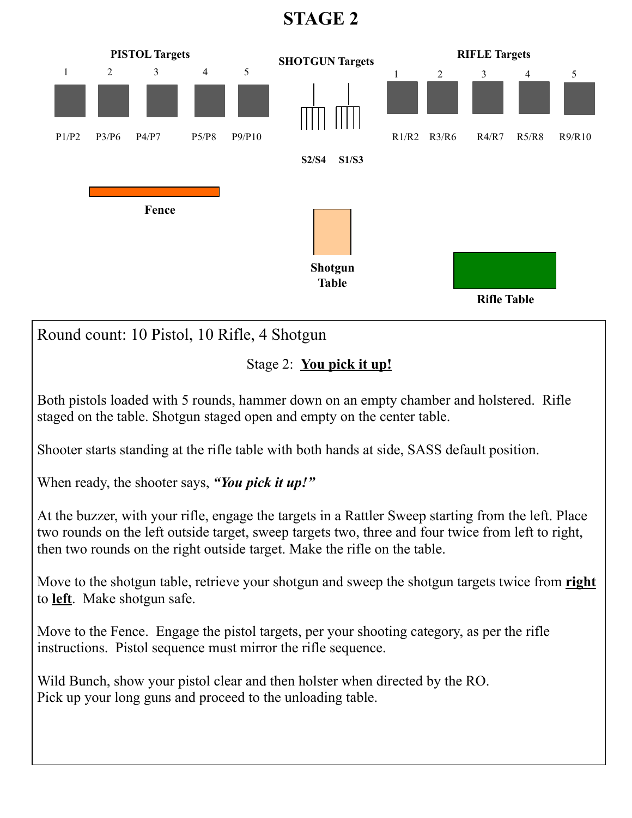**STAGE 2** 

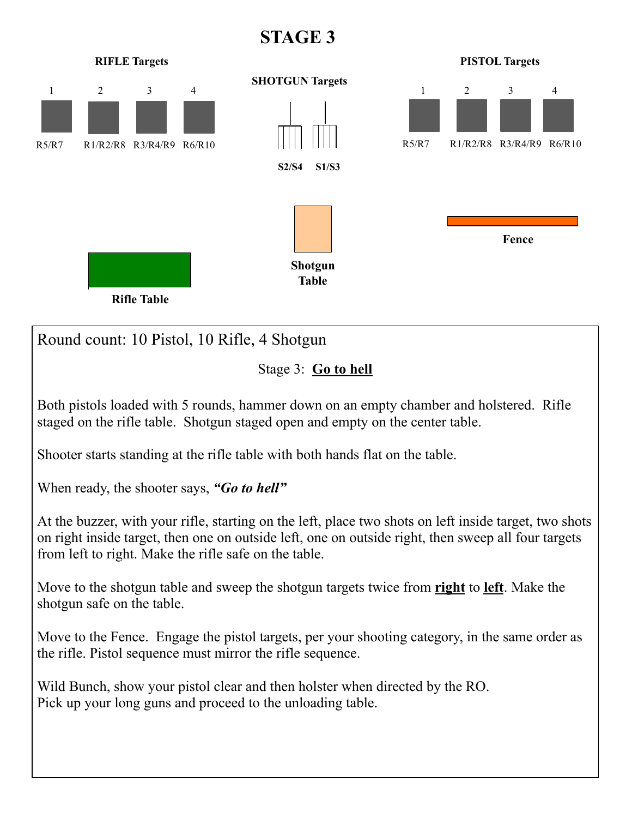